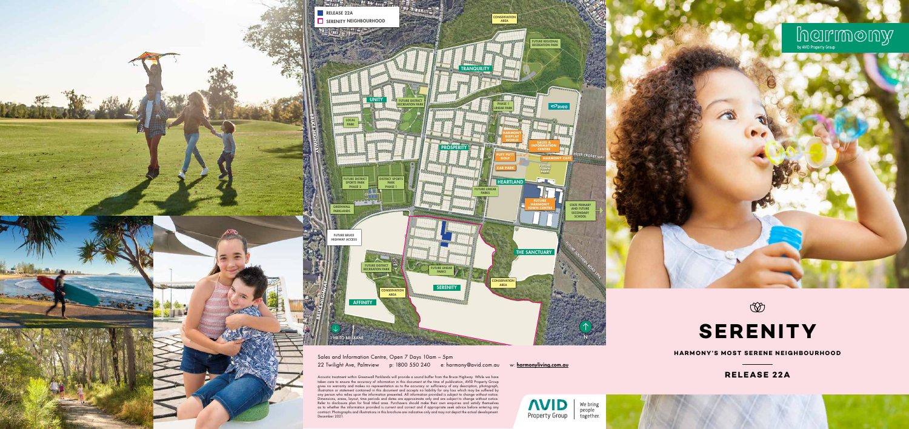# **RELEASE 22A**



**HARMONY'S MOST SERENE NEIGHBOURHOOD**

# **SERENITY**

 $\circledcirc$